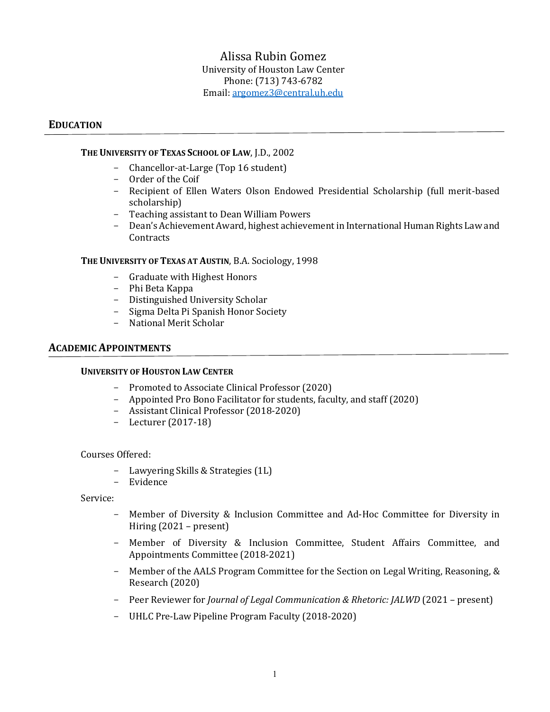# Alissa Rubin Gomez University of Houston Law Center Phone: (713) 743-6782 Email[: argomez3@central.uh.edu](mailto:argomez3@central.uh.edu)

### **EDUCATION**

#### **THE UNIVERSITY OF TEXAS SCHOOL OF LAW**, J.D., 2002

- Chancellor-at-Large (Top 16 student)
- Order of the Coif
- Recipient of Ellen Waters Olson Endowed Presidential Scholarship (full merit-based scholarship)
- Teaching assistant to Dean William Powers
- Dean's Achievement Award, highest achievement in International Human Rights Law and **Contracts**

#### **THE UNIVERSITY OF TEXAS AT AUSTIN**, B.A. Sociology, 1998

- Graduate with Highest Honors
- Phi Beta Kappa
- Distinguished University Scholar
- Sigma Delta Pi Spanish Honor Society
- National Merit Scholar

# **ACADEMIC APPOINTMENTS**

#### **UNIVERSITY OF HOUSTON LAW CENTER**

- Promoted to Associate Clinical Professor (2020)
- Appointed Pro Bono Facilitator for students, faculty, and staff (2020)
- Assistant Clinical Professor (2018-2020)
- Lecturer (2017-18)

#### Courses Offered:

- Lawyering Skills & Strategies (1L)
- **Evidence**

Service:

- Member of Diversity & Inclusion Committee and Ad-Hoc Committee for Diversity in Hiring (2021 – present)
- Member of Diversity & Inclusion Committee, Student Affairs Committee, and Appointments Committee (2018-2021)
- Member of the AALS Program Committee for the Section on Legal Writing, Reasoning, & Research (2020)
- Peer Reviewer for *Journal of Legal Communication & Rhetoric: JALWD* (2021 present)
- UHLC Pre-Law Pipeline Program Faculty (2018-2020)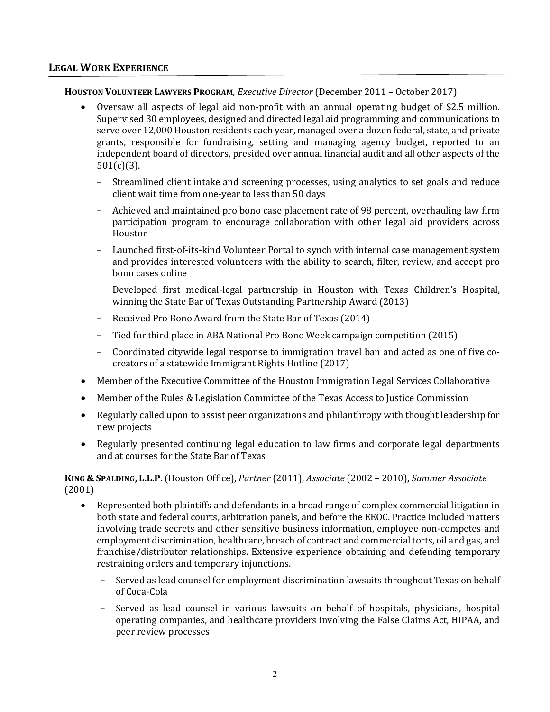# **LEGAL WORK EXPERIENCE**

# **HOUSTON VOLUNTEER LAWYERS PROGRAM**, *Executive Director* (December 2011 – October 2017)

- Oversaw all aspects of legal aid non-profit with an annual operating budget of \$2.5 million. Supervised 30 employees, designed and directed legal aid programming and communications to serve over 12,000 Houston residents each year, managed over a dozen federal, state, and private grants, responsible for fundraising, setting and managing agency budget, reported to an independent board of directors, presided over annual financial audit and all other aspects of the 501(c)(3).
	- Streamlined client intake and screening processes, using analytics to set goals and reduce client wait time from one-year to less than 50 days
	- Achieved and maintained pro bono case placement rate of 98 percent, overhauling law firm participation program to encourage collaboration with other legal aid providers across Houston
	- Launched first-of-its-kind Volunteer Portal to synch with internal case management system and provides interested volunteers with the ability to search, filter, review, and accept pro bono cases online
	- Developed first medical-legal partnership in Houston with Texas Children's Hospital, winning the State Bar of Texas Outstanding Partnership Award (2013)
	- Received Pro Bono Award from the State Bar of Texas (2014)
	- Tied for third place in ABA National Pro Bono Week campaign competition (2015)
	- Coordinated citywide legal response to immigration travel ban and acted as one of five cocreators of a statewide Immigrant Rights Hotline (2017)
- Member of the Executive Committee of the Houston Immigration Legal Services Collaborative
- Member of the Rules & Legislation Committee of the Texas Access to Justice Commission
- Regularly called upon to assist peer organizations and philanthropy with thought leadership for new projects
- Regularly presented continuing legal education to law firms and corporate legal departments and at courses for the State Bar of Texas

**KING & SPALDING, L.L.P.**(Houston Office), *Partner* (2011), *Associate* (2002 – 2010), *Summer Associate* (2001)

- Represented both plaintiffs and defendants in a broad range of complex commercial litigation in both state and federal courts, arbitration panels, and before the EEOC. Practice included matters involving trade secrets and other sensitive business information, employee non-competes and employment discrimination, healthcare, breach of contract and commercial torts, oil and gas, and franchise/distributor relationships. Extensive experience obtaining and defending temporary restraining orders and temporary injunctions.
	- Served as lead counsel for employment discrimination lawsuits throughout Texas on behalf of Coca-Cola
	- Served as lead counsel in various lawsuits on behalf of hospitals, physicians, hospital operating companies, and healthcare providers involving the False Claims Act, HIPAA, and peer review processes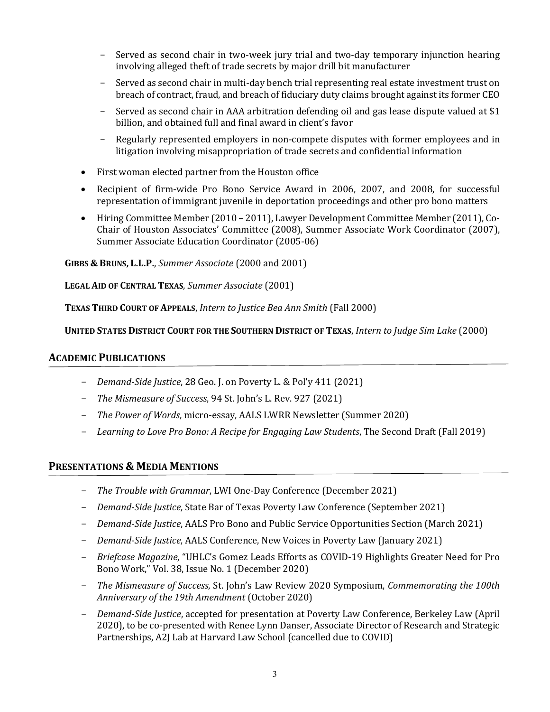- Served as second chair in two-week jury trial and two-day temporary injunction hearing involving alleged theft of trade secrets by major drill bit manufacturer
- Served as second chair in multi-day bench trial representing real estate investment trust on breach of contract, fraud, and breach of fiduciary duty claims brought against its former CEO
- Served as second chair in AAA arbitration defending oil and gas lease dispute valued at \$1 billion, and obtained full and final award in client's favor
- Regularly represented employers in non-compete disputes with former employees and in litigation involving misappropriation of trade secrets and confidential information
- First woman elected partner from the Houston office
- Recipient of firm-wide Pro Bono Service Award in 2006, 2007, and 2008, for successful representation of immigrant juvenile in deportation proceedings and other pro bono matters
- Hiring Committee Member (2010 2011), Lawyer Development Committee Member (2011), Co-Chair of Houston Associates' Committee (2008), Summer Associate Work Coordinator (2007), Summer Associate Education Coordinator (2005-06)

**GIBBS & BRUNS, L.L.P.**, *Summer Associate* (2000 and 2001)

**LEGAL AID OF CENTRAL TEXAS**, *Summer Associate* (2001)

**TEXAS THIRD COURT OF APPEALS**, *Intern to Justice Bea Ann Smith* (Fall 2000)

**UNITED STATES DISTRICT COURT FOR THE SOUTHERN DISTRICT OF TEXAS**, *Intern to Judge Sim Lake* (2000)

### **ACADEMIC PUBLICATIONS**

- *Demand-Side Justice*, 28 Geo. J. on Poverty L. & Pol'y 411 (2021)
- *The Mismeasure of Success*, 94 St. John's L. Rev. 927 (2021)
- *The Power of Words*, micro-essay, AALS LWRR Newsletter (Summer 2020)
- *Learning to Love Pro Bono: A Recipe for Engaging Law Students*, The Second Draft (Fall 2019)

# **PRESENTATIONS & MEDIA MENTIONS**

- *The Trouble with Grammar*, LWI One-Day Conference (December 2021)
- *Demand-Side Justice*, State Bar of Texas Poverty Law Conference (September 2021)
- *Demand-Side Justice*, AALS Pro Bono and Public Service Opportunities Section (March 2021)
- *Demand-Side Justice*, AALS Conference, New Voices in Poverty Law (January 2021)
- *Briefcase Magazine*, "UHLC's Gomez Leads Efforts as COVID-19 Highlights Greater Need for Pro Bono Work," Vol. 38, Issue No. 1 (December 2020)
- *The Mismeasure of Success*, St. John's Law Review 2020 Symposium, *Commemorating the 100th Anniversary of the 19th Amendment* (October 2020)
- *Demand-Side Justice*, accepted for presentation at Poverty Law Conference, Berkeley Law (April 2020), to be co-presented with Renee Lynn Danser, Associate Director of Research and Strategic Partnerships, A2J Lab at Harvard Law School (cancelled due to COVID)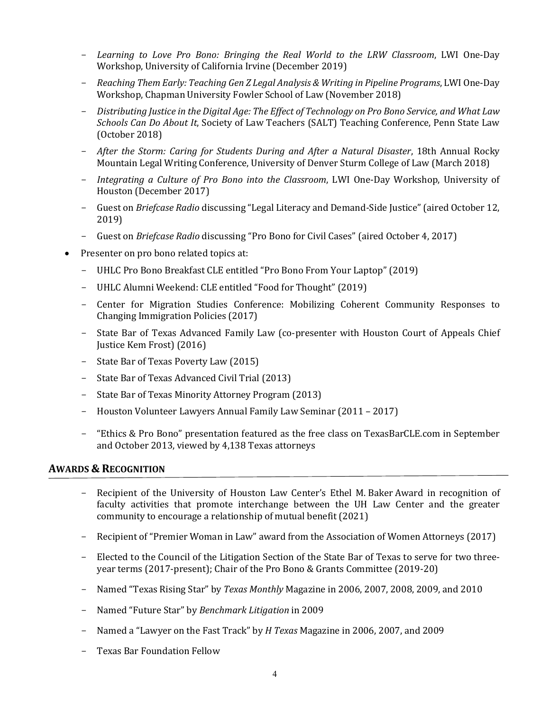- *Learning to Love Pro Bono: Bringing the Real World to the LRW Classroom*, LWI One-Day Workshop, University of California Irvine (December 2019)
- *Reaching Them Early: Teaching Gen Z Legal Analysis & Writing in Pipeline Programs*, LWI One-Day Workshop, Chapman University Fowler School of Law (November 2018)
- *Distributing Justice in the Digital Age: The Effect of Technology on Pro Bono Service, and What Law Schools Can Do About It*, Society of Law Teachers (SALT) Teaching Conference, Penn State Law (October 2018)
- *After the Storm: Caring for Students During and After a Natural Disaster*, 18th Annual Rocky Mountain Legal Writing Conference, University of Denver Sturm College of Law (March 2018)
- *Integrating a Culture of Pro Bono into the Classroom*, LWI One-Day Workshop, University of Houston (December 2017)
- Guest on *Briefcase Radio* discussing "Legal Literacy and Demand-Side Justice" (aired October 12, 2019)
- Guest on *Briefcase Radio* discussing "Pro Bono for Civil Cases" (aired October 4, 2017)
- Presenter on pro bono related topics at:
	- UHLC Pro Bono Breakfast CLE entitled "Pro Bono From Your Laptop" (2019)
	- UHLC Alumni Weekend: CLE entitled "Food for Thought" (2019)
	- Center for Migration Studies Conference: Mobilizing Coherent Community Responses to Changing Immigration Policies (2017)
	- State Bar of Texas Advanced Family Law (co-presenter with Houston Court of Appeals Chief Justice Kem Frost) (2016)
	- State Bar of Texas Poverty Law (2015)
	- State Bar of Texas Advanced Civil Trial (2013)
	- State Bar of Texas Minority Attorney Program (2013)
	- Houston Volunteer Lawyers Annual Family Law Seminar (2011 2017)
	- "Ethics & Pro Bono" presentation featured as the free class on TexasBarCLE.com in September and October 2013, viewed by 4,138 Texas attorneys

# **AWARDS & RECOGNITION**

- Recipient of the University of Houston Law Center's Ethel M. Baker Award in recognition of faculty activities that promote interchange between the UH Law Center and the greater community to encourage a relationship of mutual benefit (2021)
- Recipient of "Premier Woman in Law" award from the Association of Women Attorneys (2017)
- Elected to the Council of the Litigation Section of the State Bar of Texas to serve for two threeyear terms (2017-present); Chair of the Pro Bono & Grants Committee (2019-20)
- Named "Texas Rising Star" by *Texas Monthly* Magazine in 2006, 2007, 2008, 2009, and 2010
- Named "Future Star" by *Benchmark Litigation* in 2009
- Named a "Lawyer on the Fast Track" by *H Texas* Magazine in 2006, 2007, and 2009
- Texas Bar Foundation Fellow